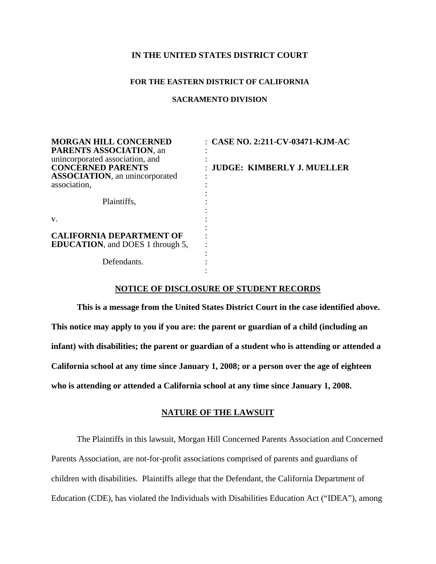# **IN THE UNITED STATES DISTRICT COURT**

#### **FOR THE EASTERN DISTRICT OF CALIFORNIA**

#### **SACRAMENTO DIVISION**

| <b>MORGAN HILL CONCERNED</b><br><b>PARENTS ASSOCIATION, an</b><br>unincorporated association, and<br><b>CONCERNED PARENTS</b><br><b>ASSOCIATION</b> , an unincorporated<br>association, | $\therefore$ CASE NO. 2:211-CV-03471-KJM-AC<br>: JUDGE: KIMBERLY J. MUELLER |
|-----------------------------------------------------------------------------------------------------------------------------------------------------------------------------------------|-----------------------------------------------------------------------------|
| Plaintiffs,                                                                                                                                                                             |                                                                             |
| V.                                                                                                                                                                                      |                                                                             |
| <b>CALIFORNIA DEPARTMENT OF</b><br><b>EDUCATION</b> , and DOES 1 through 5,                                                                                                             |                                                                             |
| Defendants.                                                                                                                                                                             |                                                                             |

#### **NOTICE OF DISCLOSURE OF STUDENT RECORDS**

**This is a message from the United States District Court in the case identified above. This notice may apply to you if you are: the parent or guardian of a child (including an infant) with disabilities; the parent or guardian of a student who is attending or attended a California school at any time since January 1, 2008; or a person over the age of eighteen who is attending or attended a California school at any time since January 1, 2008.** 

# **NATURE OF THE LAWSUIT**

The Plaintiffs in this lawsuit, Morgan Hill Concerned Parents Association and Concerned Parents Association, are not-for-profit associations comprised of parents and guardians of children with disabilities. Plaintiffs allege that the Defendant, the California Department of Education (CDE), has violated the Individuals with Disabilities Education Act ("IDEA"), among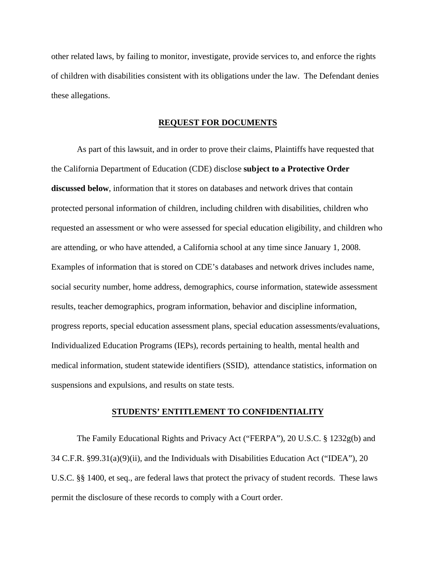other related laws, by failing to monitor, investigate, provide services to, and enforce the rights of children with disabilities consistent with its obligations under the law. The Defendant denies these allegations.

### **REQUEST FOR DOCUMENTS**

As part of this lawsuit, and in order to prove their claims, Plaintiffs have requested that the California Department of Education (CDE) disclose **subject to a Protective Order discussed below**, information that it stores on databases and network drives that contain protected personal information of children, including children with disabilities, children who requested an assessment or who were assessed for special education eligibility, and children who are attending, or who have attended, a California school at any time since January 1, 2008. Examples of information that is stored on CDE's databases and network drives includes name, social security number, home address, demographics, course information, statewide assessment results, teacher demographics, program information, behavior and discipline information, progress reports, special education assessment plans, special education assessments/evaluations, Individualized Education Programs (IEPs), records pertaining to health, mental health and medical information, student statewide identifiers (SSID), attendance statistics, information on suspensions and expulsions, and results on state tests.

#### **STUDENTS' ENTITLEMENT TO CONFIDENTIALITY**

The Family Educational Rights and Privacy Act ("FERPA"), 20 U.S.C. § 1232g(b) and 34 C.F.R. §99.31(a)(9)(ii), and the Individuals with Disabilities Education Act ("IDEA"), 20 U.S.C. §§ 1400, et seq., are federal laws that protect the privacy of student records. These laws permit the disclosure of these records to comply with a Court order.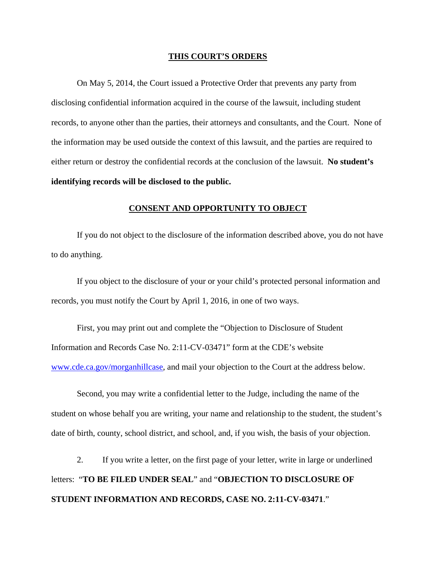#### **THIS COURT'S ORDERS**

On May 5, 2014, the Court issued a Protective Order that prevents any party from disclosing confidential information acquired in the course of the lawsuit, including student records, to anyone other than the parties, their attorneys and consultants, and the Court. None of the information may be used outside the context of this lawsuit, and the parties are required to either return or destroy the confidential records at the conclusion of the lawsuit. **No student's identifying records will be disclosed to the public.** 

# **CONSENT AND OPPORTUNITY TO OBJECT**

If you do not object to the disclosure of the information described above, you do not have to do anything.

If you object to the disclosure of your or your child's protected personal information and records, you must notify the Court by April 1, 2016, in one of two ways.

First, you may print out and complete the "Objection to Disclosure of Student Information and Records Case No. 2:11-CV-03471" form at the CDE's website www.cde.ca.gov/morganhillcase, and mail your objection to the Court at the address below.

Second, you may write a confidential letter to the Judge, including the name of the student on whose behalf you are writing, your name and relationship to the student, the student's date of birth, county, school district, and school, and, if you wish, the basis of your objection.

2. If you write a letter, on the first page of your letter, write in large or underlined letters: "**TO BE FILED UNDER SEAL**" and "**OBJECTION TO DISCLOSURE OF STUDENT INFORMATION AND RECORDS, CASE NO. 2:11-CV-03471**."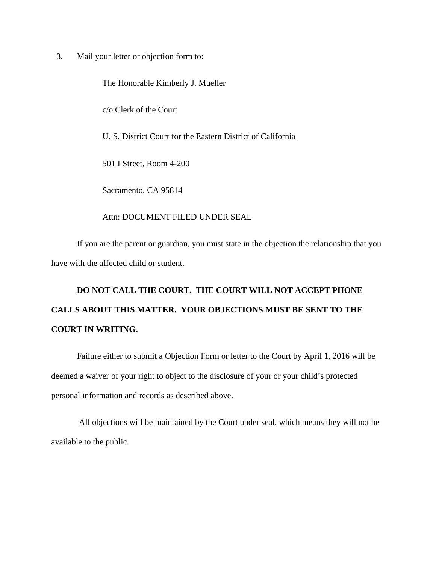3. Mail your letter or objection form to:

The Honorable Kimberly J. Mueller c/o Clerk of the Court U. S. District Court for the Eastern District of California 501 I Street, Room 4-200 Sacramento, CA 95814

Attn: DOCUMENT FILED UNDER SEAL

If you are the parent or guardian, you must state in the objection the relationship that you have with the affected child or student.

# **DO NOT CALL THE COURT. THE COURT WILL NOT ACCEPT PHONE CALLS ABOUT THIS MATTER. YOUR OBJECTIONS MUST BE SENT TO THE COURT IN WRITING.**

Failure either to submit a Objection Form or letter to the Court by April 1, 2016 will be deemed a waiver of your right to object to the disclosure of your or your child's protected personal information and records as described above.

 All objections will be maintained by the Court under seal, which means they will not be available to the public.